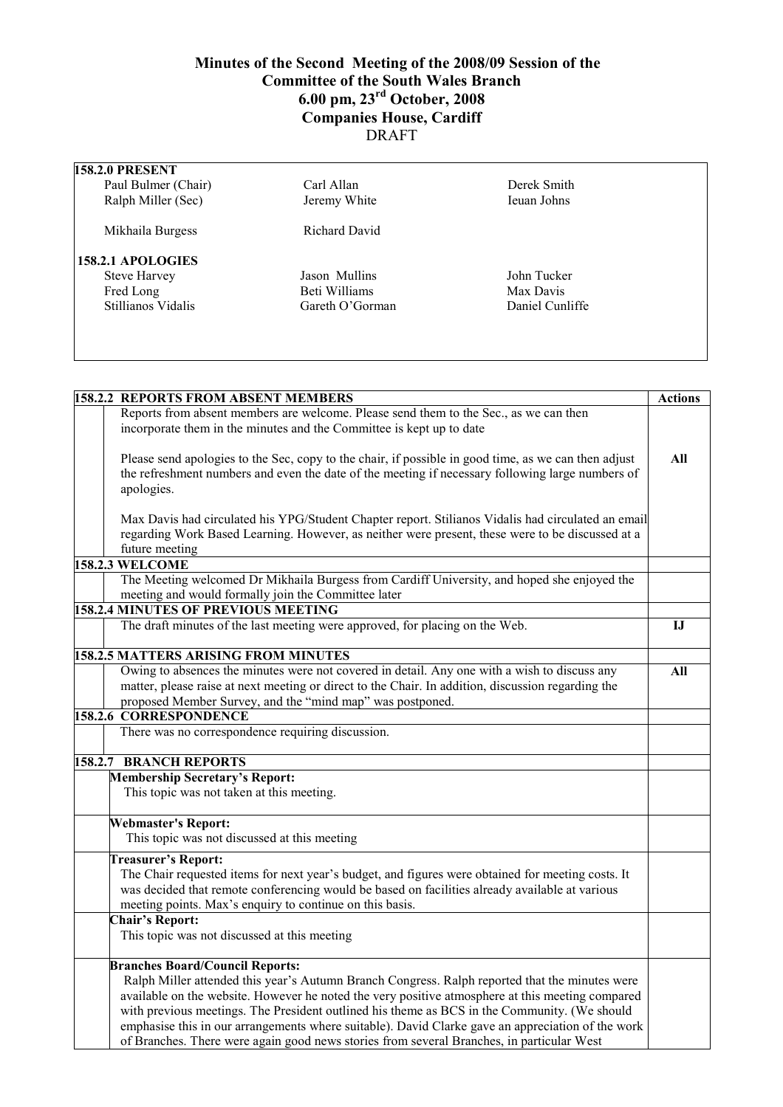## **Minutes of the Second Meeting of the 2008/09 Session of the Committee of the South Wales Branch 6.00 pm, 23rd October, 2008 Companies House, Cardiff**  DRAFT

| <b>158.2.0 PRESENT</b> |                 |                 |  |
|------------------------|-----------------|-----------------|--|
| Paul Bulmer (Chair)    | Carl Allan      | Derek Smith     |  |
| Ralph Miller (Sec)     | Jeremy White    | Ieuan Johns     |  |
| Mikhaila Burgess       | Richard David   |                 |  |
| 158.2.1 APOLOGIES      |                 |                 |  |
| <b>Steve Harvey</b>    | Jason Mullins   | John Tucker     |  |
| Fred Long              | Beti Williams   | Max Davis       |  |
| Stillianos Vidalis     | Gareth O'Gorman | Daniel Cunliffe |  |
|                        |                 |                 |  |
|                        |                 |                 |  |

| <b>158.2.2 REPORTS FROM ABSENT MEMBERS</b>                                                           | <b>Actions</b> |
|------------------------------------------------------------------------------------------------------|----------------|
| Reports from absent members are welcome. Please send them to the Sec., as we can then                |                |
| incorporate them in the minutes and the Committee is kept up to date                                 |                |
|                                                                                                      |                |
| Please send apologies to the Sec, copy to the chair, if possible in good time, as we can then adjust | All            |
| the refreshment numbers and even the date of the meeting if necessary following large numbers of     |                |
| apologies.                                                                                           |                |
|                                                                                                      |                |
| Max Davis had circulated his YPG/Student Chapter report. Stilianos Vidalis had circulated an email   |                |
| regarding Work Based Learning. However, as neither were present, these were to be discussed at a     |                |
| future meeting                                                                                       |                |
| <b>158.2.3 WELCOME</b>                                                                               |                |
| The Meeting welcomed Dr Mikhaila Burgess from Cardiff University, and hoped she enjoyed the          |                |
| meeting and would formally join the Committee later                                                  |                |
| 158.2.4 MINUTES OF PREVIOUS MEETING                                                                  |                |
| The draft minutes of the last meeting were approved, for placing on the Web.                         | ${\bf I}$      |
|                                                                                                      |                |
| <b>158.2.5 MATTERS ARISING FROM MINUTES</b>                                                          |                |
| Owing to absences the minutes were not covered in detail. Any one with a wish to discuss any         | All            |
| matter, please raise at next meeting or direct to the Chair. In addition, discussion regarding the   |                |
| proposed Member Survey, and the "mind map" was postponed.                                            |                |
| <b>158.2.6 CORRESPONDENCE</b>                                                                        |                |
| There was no correspondence requiring discussion.                                                    |                |
|                                                                                                      |                |
| <b>158.2.7 BRANCH REPORTS</b>                                                                        |                |
| <b>Membership Secretary's Report:</b>                                                                |                |
| This topic was not taken at this meeting.                                                            |                |
|                                                                                                      |                |
| <b>Webmaster's Report:</b>                                                                           |                |
| This topic was not discussed at this meeting                                                         |                |
| <b>Treasurer's Report:</b>                                                                           |                |
| The Chair requested items for next year's budget, and figures were obtained for meeting costs. It    |                |
| was decided that remote conferencing would be based on facilities already available at various       |                |
| meeting points. Max's enquiry to continue on this basis.                                             |                |
| <b>Chair's Report:</b>                                                                               |                |
| This topic was not discussed at this meeting                                                         |                |
|                                                                                                      |                |
| <b>Branches Board/Council Reports:</b>                                                               |                |
| Ralph Miller attended this year's Autumn Branch Congress. Ralph reported that the minutes were       |                |
| available on the website. However he noted the very positive atmosphere at this meeting compared     |                |
| with previous meetings. The President outlined his theme as BCS in the Community. (We should         |                |
| emphasise this in our arrangements where suitable). David Clarke gave an appreciation of the work    |                |
| of Branches. There were again good news stories from several Branches, in particular West            |                |